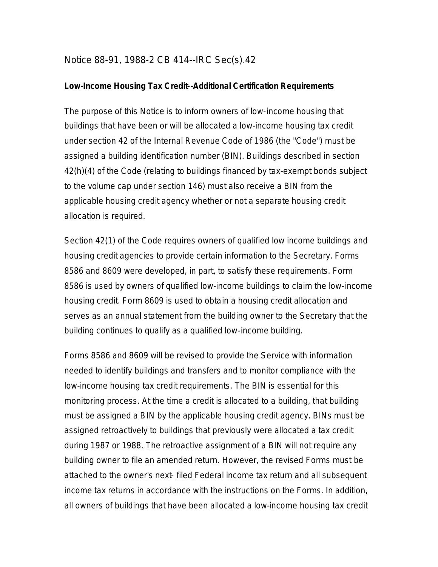## Notice 88-91, 1988-2 CB 414--IRC Sec(s).42

## **Low-Income Housing Tax Credit--Additional Certification Requirements**

The purpose of this Notice is to inform owners of low-income housing that buildings that have been or will be allocated a low-income housing tax credit under section 42 of the Internal Revenue Code of 1986 (the "Code") must be assigned a building identification number (BIN). Buildings described in section 42(h)(4) of the Code (relating to buildings financed by tax-exempt bonds subject to the volume cap under section 146) must also receive a BIN from the applicable housing credit agency whether or not a separate housing credit allocation is required.

Section 42(1) of the Code requires owners of qualified low income buildings and housing credit agencies to provide certain information to the Secretary. Forms 8586 and 8609 were developed, in part, to satisfy these requirements. Form 8586 is used by owners of qualified low-income buildings to claim the low-income housing credit. Form 8609 is used to obtain a housing credit allocation and serves as an annual statement from the building owner to the Secretary that the building continues to qualify as a qualified low-income building.

Forms 8586 and 8609 will be revised to provide the Service with information needed to identify buildings and transfers and to monitor compliance with the low-income housing tax credit requirements. The BIN is essential for this monitoring process. At the time a credit is allocated to a building, that building must be assigned a BIN by the applicable housing credit agency. BINs must be assigned retroactively to buildings that previously were allocated a tax credit during 1987 or 1988. The retroactive assignment of a BIN will not require any building owner to file an amended return. However, the revised Forms must be attached to the owner's next- filed Federal income tax return and all subsequent income tax returns in accordance with the instructions on the Forms. In addition, all owners of buildings that have been allocated a low-income housing tax credit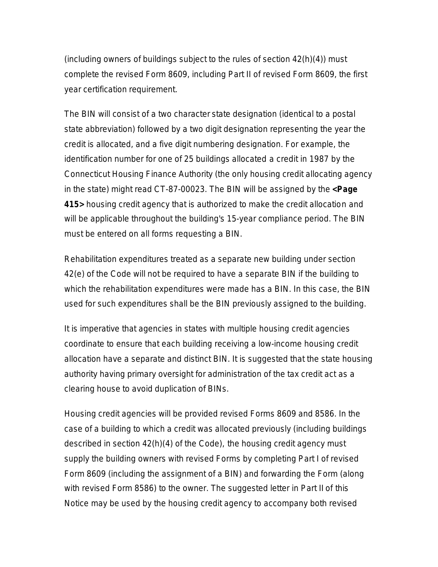(including owners of buildings subject to the rules of section  $42(h)(4)$ ) must complete the revised Form 8609, including Part II of revised Form 8609, the first year certification requirement.

The BIN will consist of a two character state designation (identical to a postal state abbreviation) followed by a two digit designation representing the year the credit is allocated, and a five digit numbering designation. For example, the identification number for one of 25 buildings allocated a credit in 1987 by the Connecticut Housing Finance Authority (the only housing credit allocating agency in the state) might read CT-87-00023. The BIN will be assigned by the **<Page 415>** housing credit agency that is authorized to make the credit allocation and will be applicable throughout the building's 15-year compliance period. The BIN must be entered on all forms requesting a BIN.

Rehabilitation expenditures treated as a separate new building under section 42(e) of the Code will not be required to have a separate BIN if the building to which the rehabilitation expenditures were made has a BIN. In this case, the BIN used for such expenditures shall be the BIN previously assigned to the building.

It is imperative that agencies in states with multiple housing credit agencies coordinate to ensure that each building receiving a low-income housing credit allocation have a separate and distinct BIN. It is suggested that the state housing authority having primary oversight for administration of the tax credit act as a clearing house to avoid duplication of BINs.

Housing credit agencies will be provided revised Forms 8609 and 8586. In the case of a building to which a credit was allocated previously (including buildings described in section 42(h)(4) of the Code), the housing credit agency must supply the building owners with revised Forms by completing Part I of revised Form 8609 (including the assignment of a BIN) and forwarding the Form (along with revised Form 8586) to the owner. The suggested letter in Part II of this Notice may be used by the housing credit agency to accompany both revised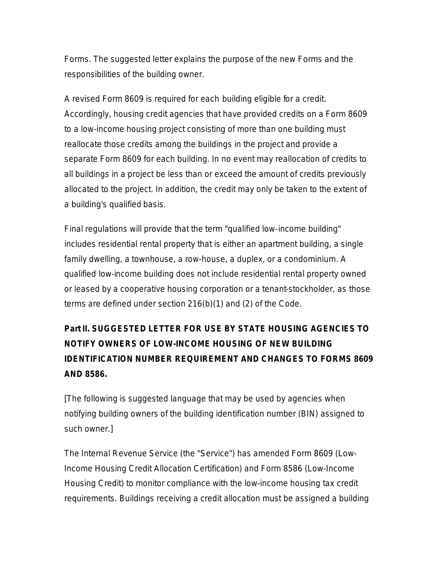Forms. The suggested letter explains the purpose of the new Forms and the responsibilities of the building owner.

A revised Form 8609 is required for *each* building eligible for a credit. Accordingly, housing credit agencies that have provided credits on a Form 8609 to a low-income housing project consisting of more than one building must reallocate those credits among the buildings in the project and provide a separate Form 8609 for each building. In no event may reallocation of credits to all buildings in a project be less than or exceed the amount of credits previously allocated to the project. In addition, the credit may only be taken to the extent of a building's qualified basis.

Final regulations will provide that the term "qualified low-income building" includes residential rental property that is either an apartment building, a single family dwelling, a townhouse, a row-house, a duplex, or a condominium. A qualified low-income building does not include residential rental property owned or leased by a cooperative housing corporation or a tenant-stockholder, as those terms are defined under section 216(b)(1) and (2) of the Code.

## **Part II. SUGGESTED LETTER FOR USE BY STATE HOUSING AGENCIES TO NOTIFY OWNERS OF LOW-INCOME HOUSING OF NEW BUILDING IDENTIFICATION NUMBER REQUIREMENT AND CHANGES TO FORMS 8609 AND 8586.**

[The following is suggested language that may be used by agencies when notifying building owners of the building identification number (BIN) assigned to such owner.]

The Internal Revenue Service (the "Service") has amended Form 8609 (Low-Income Housing Credit Allocation Certification) and Form 8586 (Low-Income Housing Credit) to monitor compliance with the low-income housing tax credit requirements. Buildings receiving a credit allocation must be assigned a building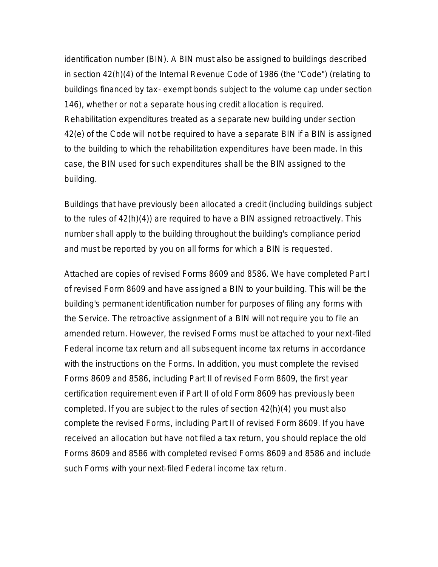identification number (BIN). A BIN must also be assigned to buildings described in section 42(h)(4) of the Internal Revenue Code of 1986 (the "Code") (relating to buildings financed by tax- exempt bonds subject to the volume cap under section 146), whether or not a separate housing credit allocation is required. Rehabilitation expenditures treated as a separate new building under section 42(e) of the Code will *not* be required to have a separate BIN if a BIN is assigned to the building to which the rehabilitation expenditures have been made. In this case, the BIN used for such expenditures shall be the BIN assigned to the building.

Buildings that have previously been allocated a credit (including buildings subject to the rules of 42(h)(4)) are required to have a BIN assigned retroactively. This number shall apply to the building throughout the building's compliance period and must be reported by you on all forms for which a BIN is requested.

Attached are copies of revised Forms 8609 and 8586. We have completed Part I of revised Form 8609 and have assigned a BIN to your building. This will be the building's permanent identification number for purposes of filing any forms with the Service. The retroactive assignment of a BIN will not require you to file an amended return. However, the revised Forms must be attached to your next-filed Federal income tax return and all subsequent income tax returns in accordance with the instructions on the Forms. In addition, you must complete the revised Forms 8609 and 8586, including Part II of revised Form 8609, the first year certification requirement even if Part II of old Form 8609 has previously been completed. If you are subject to the rules of section 42(h)(4) you must also complete the revised Forms, including Part II of revised Form 8609. If you have received an allocation but have not filed a tax return, you should replace the old Forms 8609 and 8586 with completed revised Forms 8609 and 8586 and include such Forms with your next-filed Federal income tax return.